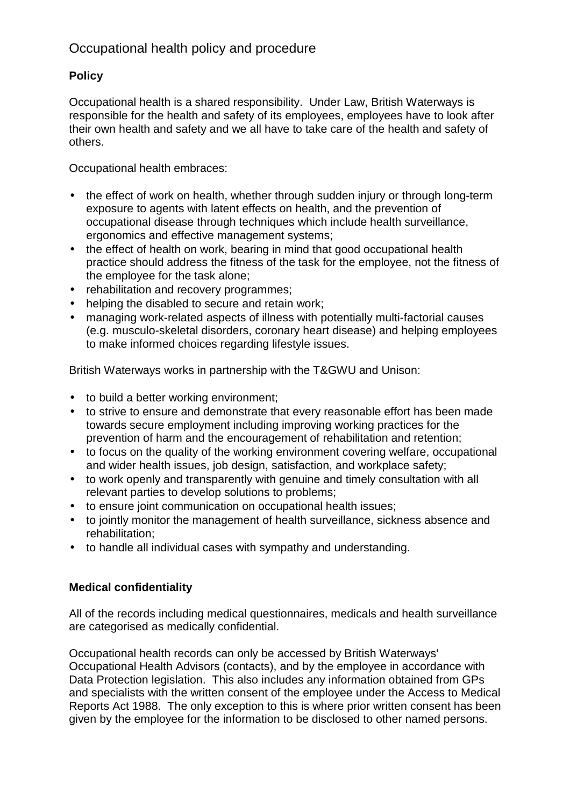# Occupational health policy and procedure

## **Policy**

Occupational health is a shared responsibility. Under Law, British Waterways is responsible for the health and safety of its employees, employees have to look after their own health and safety and we all have to take care of the health and safety of others.

Occupational health embraces:

- the effect of work on health, whether through sudden injury or through long-term exposure to agents with latent effects on health, and the prevention of occupational disease through techniques which include health surveillance, ergonomics and effective management systems;
- the effect of health on work, bearing in mind that good occupational health practice should address the fitness of the task for the employee, not the fitness of the employee for the task alone;
- rehabilitation and recovery programmes;
- helping the disabled to secure and retain work;
- managing work-related aspects of illness with potentially multi-factorial causes (e.g. musculo-skeletal disorders, coronary heart disease) and helping employees to make informed choices regarding lifestyle issues.

British Waterways works in partnership with the T&GWU and Unison:

- to build a better working environment;
- to strive to ensure and demonstrate that every reasonable effort has been made towards secure employment including improving working practices for the prevention of harm and the encouragement of rehabilitation and retention;
- to focus on the quality of the working environment covering welfare, occupational and wider health issues, job design, satisfaction, and workplace safety;
- to work openly and transparently with genuine and timely consultation with all relevant parties to develop solutions to problems;
- to ensure joint communication on occupational health issues;
- to jointly monitor the management of health surveillance, sickness absence and rehabilitation;
- to handle all individual cases with sympathy and understanding.

## **Medical confidentiality**

All of the records including medical questionnaires, medicals and health surveillance are categorised as medically confidential.

Occupational health records can only be accessed by British Waterways' Occupational Health Advisors (contacts), and by the employee in accordance with Data Protection legislation. This also includes any information obtained from GPs and specialists with the written consent of the employee under the Access to Medical Reports Act 1988. The only exception to this is where prior written consent has been given by the employee for the information to be disclosed to other named persons.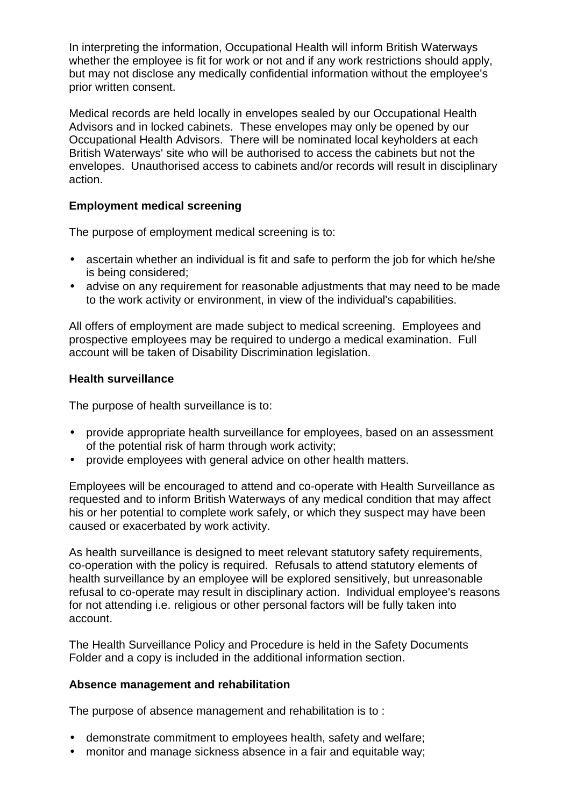In interpreting the information, Occupational Health will inform British Waterways whether the employee is fit for work or not and if any work restrictions should apply, but may not disclose any medically confidential information without the employee's prior written consent.

Medical records are held locally in envelopes sealed by our Occupational Health Advisors and in locked cabinets. These envelopes may only be opened by our Occupational Health Advisors. There will be nominated local keyholders at each British Waterways' site who will be authorised to access the cabinets but not the envelopes. Unauthorised access to cabinets and/or records will result in disciplinary action.

## **Employment medical screening**

The purpose of employment medical screening is to:

- ascertain whether an individual is fit and safe to perform the job for which he/she is being considered;
- advise on any requirement for reasonable adjustments that may need to be made to the work activity or environment, in view of the individual's capabilities.

All offers of employment are made subject to medical screening. Employees and prospective employees may be required to undergo a medical examination. Full account will be taken of Disability Discrimination legislation.

### **Health surveillance**

The purpose of health surveillance is to:

- provide appropriate health surveillance for employees, based on an assessment of the potential risk of harm through work activity;
- provide employees with general advice on other health matters.

Employees will be encouraged to attend and co-operate with Health Surveillance as requested and to inform British Waterways of any medical condition that may affect his or her potential to complete work safely, or which they suspect may have been caused or exacerbated by work activity.

As health surveillance is designed to meet relevant statutory safety requirements, co-operation with the policy is required. Refusals to attend statutory elements of health surveillance by an employee will be explored sensitively, but unreasonable refusal to co-operate may result in disciplinary action. Individual employee's reasons for not attending i.e. religious or other personal factors will be fully taken into account.

The Health Surveillance Policy and Procedure is held in the Safety Documents Folder and a copy is included in the additional information section.

## **Absence management and rehabilitation**

The purpose of absence management and rehabilitation is to :

- demonstrate commitment to employees health, safety and welfare;
- monitor and manage sickness absence in a fair and equitable way: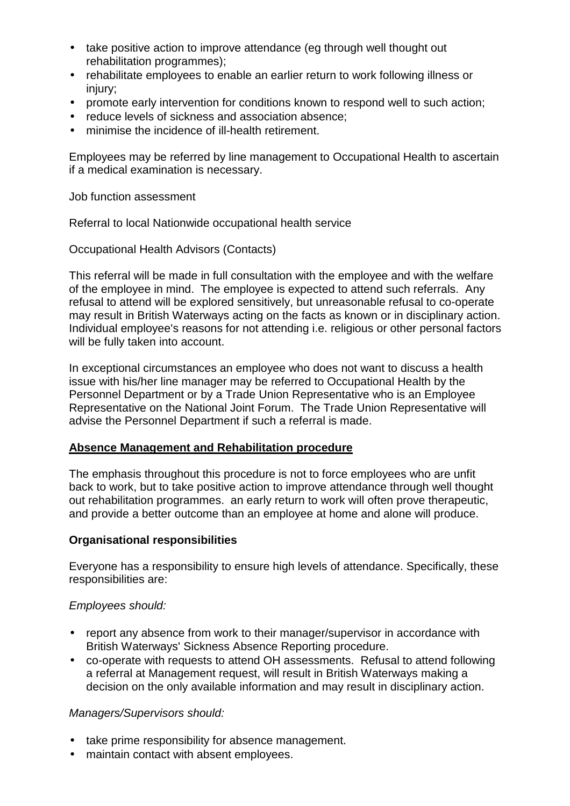- take positive action to improve attendance (eg through well thought out rehabilitation programmes);
- rehabilitate employees to enable an earlier return to work following illness or injury;
- promote early intervention for conditions known to respond well to such action;
- reduce levels of sickness and association absence;
- minimise the incidence of ill-health retirement.

Employees may be referred by line management to Occupational Health to ascertain if a medical examination is necessary.

Job function assessment

Referral to local Nationwide occupational health service

Occupational Health Advisors (Contacts)

This referral will be made in full consultation with the employee and with the welfare of the employee in mind. The employee is expected to attend such referrals. Any refusal to attend will be explored sensitively, but unreasonable refusal to co-operate may result in British Waterways acting on the facts as known or in disciplinary action. Individual employee's reasons for not attending i.e. religious or other personal factors will be fully taken into account.

In exceptional circumstances an employee who does not want to discuss a health issue with his/her line manager may be referred to Occupational Health by the Personnel Department or by a Trade Union Representative who is an Employee Representative on the National Joint Forum. The Trade Union Representative will advise the Personnel Department if such a referral is made.

### **Absence Management and Rehabilitation procedure**

The emphasis throughout this procedure is not to force employees who are unfit back to work, but to take positive action to improve attendance through well thought out rehabilitation programmes. an early return to work will often prove therapeutic, and provide a better outcome than an employee at home and alone will produce.

### **Organisational responsibilities**

Everyone has a responsibility to ensure high levels of attendance. Specifically, these responsibilities are:

### *Employees should:*

- report any absence from work to their manager/supervisor in accordance with British Waterways' Sickness Absence Reporting procedure.
- co-operate with requests to attend OH assessments. Refusal to attend following a referral at Management request, will result in British Waterways making a decision on the only available information and may result in disciplinary action.

### *Managers/Supervisors should:*

- take prime responsibility for absence management.
- maintain contact with absent employees.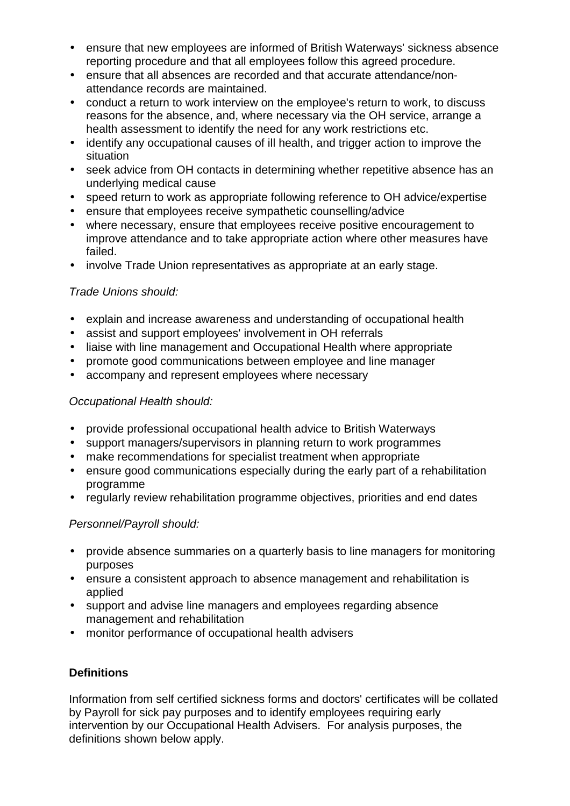- ensure that new employees are informed of British Waterways' sickness absence reporting procedure and that all employees follow this agreed procedure.
- ensure that all absences are recorded and that accurate attendance/nonattendance records are maintained.
- conduct a return to work interview on the employee's return to work, to discuss reasons for the absence, and, where necessary via the OH service, arrange a health assessment to identify the need for any work restrictions etc.
- identify any occupational causes of ill health, and trigger action to improve the situation
- seek advice from OH contacts in determining whether repetitive absence has an underlying medical cause
- speed return to work as appropriate following reference to OH advice/expertise
- ensure that employees receive sympathetic counselling/advice
- where necessary, ensure that employees receive positive encouragement to improve attendance and to take appropriate action where other measures have failed.
- involve Trade Union representatives as appropriate at an early stage.

## *Trade Unions should:*

- explain and increase awareness and understanding of occupational health
- assist and support employees' involvement in OH referrals
- liaise with line management and Occupational Health where appropriate
- promote good communications between employee and line manager
- accompany and represent employees where necessary

## *Occupational Health should:*

- provide professional occupational health advice to British Waterways
- support managers/supervisors in planning return to work programmes
- make recommendations for specialist treatment when appropriate
- ensure good communications especially during the early part of a rehabilitation programme
- regularly review rehabilitation programme objectives, priorities and end dates

## *Personnel/Payroll should:*

- provide absence summaries on a quarterly basis to line managers for monitoring purposes
- ensure a consistent approach to absence management and rehabilitation is applied
- support and advise line managers and employees regarding absence management and rehabilitation
- monitor performance of occupational health advisers

## **Definitions**

Information from self certified sickness forms and doctors' certificates will be collated by Payroll for sick pay purposes and to identify employees requiring early intervention by our Occupational Health Advisers. For analysis purposes, the definitions shown below apply.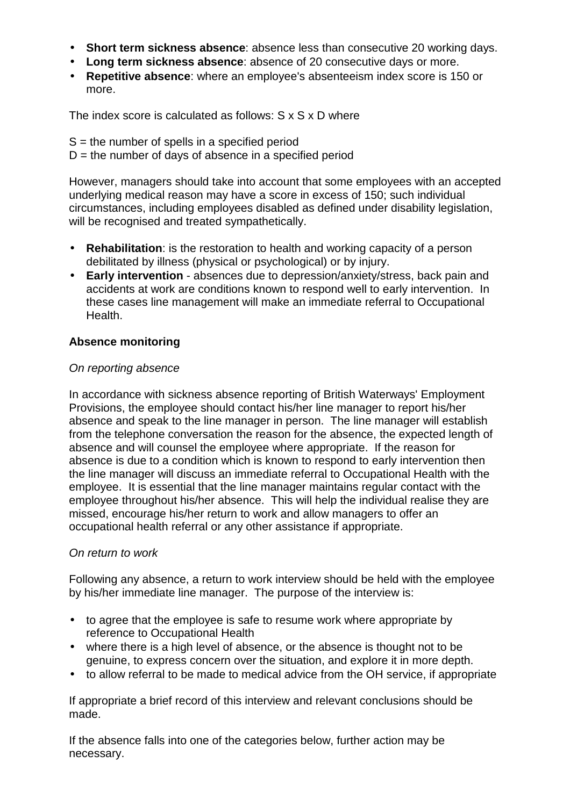- **Short term sickness absence**: absence less than consecutive 20 working days.
- **Long term sickness absence**: absence of 20 consecutive days or more.
- **Repetitive absence**: where an employee's absenteeism index score is 150 or more.

The index score is calculated as follows: S x S x D where

 $S =$  the number of spells in a specified period

 $D =$  the number of days of absence in a specified period

However, managers should take into account that some employees with an accepted underlying medical reason may have a score in excess of 150; such individual circumstances, including employees disabled as defined under disability legislation, will be recognised and treated sympathetically.

- **Rehabilitation**: is the restoration to health and working capacity of a person debilitated by illness (physical or psychological) or by injury.
- **Early intervention** absences due to depression/anxiety/stress, back pain and accidents at work are conditions known to respond well to early intervention. In these cases line management will make an immediate referral to Occupational Health.

## **Absence monitoring**

## *On reporting absence*

In accordance with sickness absence reporting of British Waterways' Employment Provisions, the employee should contact his/her line manager to report his/her absence and speak to the line manager in person. The line manager will establish from the telephone conversation the reason for the absence, the expected length of absence and will counsel the employee where appropriate. If the reason for absence is due to a condition which is known to respond to early intervention then the line manager will discuss an immediate referral to Occupational Health with the employee. It is essential that the line manager maintains regular contact with the employee throughout his/her absence. This will help the individual realise they are missed, encourage his/her return to work and allow managers to offer an occupational health referral or any other assistance if appropriate.

## *On return to work*

Following any absence, a return to work interview should be held with the employee by his/her immediate line manager. The purpose of the interview is:

- to agree that the employee is safe to resume work where appropriate by reference to Occupational Health
- where there is a high level of absence, or the absence is thought not to be genuine, to express concern over the situation, and explore it in more depth.
- to allow referral to be made to medical advice from the OH service, if appropriate

If appropriate a brief record of this interview and relevant conclusions should be made.

If the absence falls into one of the categories below, further action may be necessary.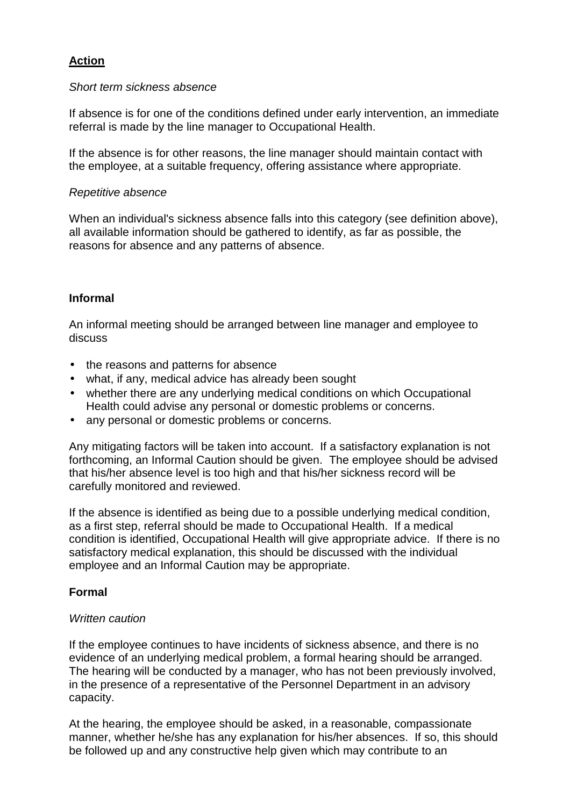## **Action**

#### *Short term sickness absence*

If absence is for one of the conditions defined under early intervention, an immediate referral is made by the line manager to Occupational Health.

If the absence is for other reasons, the line manager should maintain contact with the employee, at a suitable frequency, offering assistance where appropriate.

#### *Repetitive absence*

When an individual's sickness absence falls into this category (see definition above), all available information should be gathered to identify, as far as possible, the reasons for absence and any patterns of absence.

### **Informal**

An informal meeting should be arranged between line manager and employee to discuss

- the reasons and patterns for absence
- what, if any, medical advice has already been sought
- whether there are any underlying medical conditions on which Occupational Health could advise any personal or domestic problems or concerns.
- any personal or domestic problems or concerns.

Any mitigating factors will be taken into account. If a satisfactory explanation is not forthcoming, an Informal Caution should be given. The employee should be advised that his/her absence level is too high and that his/her sickness record will be carefully monitored and reviewed.

If the absence is identified as being due to a possible underlying medical condition, as a first step, referral should be made to Occupational Health. If a medical condition is identified, Occupational Health will give appropriate advice. If there is no satisfactory medical explanation, this should be discussed with the individual employee and an Informal Caution may be appropriate.

### **Formal**

#### *Written caution*

If the employee continues to have incidents of sickness absence, and there is no evidence of an underlying medical problem, a formal hearing should be arranged. The hearing will be conducted by a manager, who has not been previously involved, in the presence of a representative of the Personnel Department in an advisory capacity.

At the hearing, the employee should be asked, in a reasonable, compassionate manner, whether he/she has any explanation for his/her absences. If so, this should be followed up and any constructive help given which may contribute to an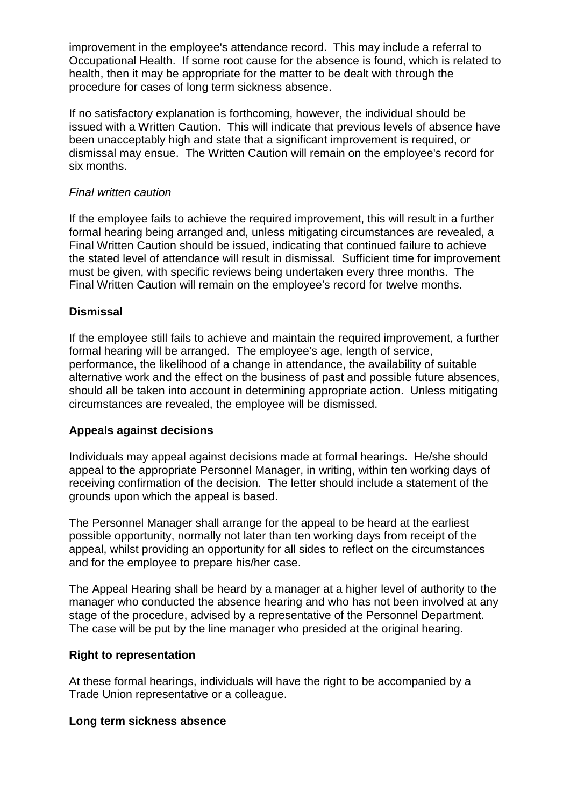improvement in the employee's attendance record. This may include a referral to Occupational Health. If some root cause for the absence is found, which is related to health, then it may be appropriate for the matter to be dealt with through the procedure for cases of long term sickness absence.

If no satisfactory explanation is forthcoming, however, the individual should be issued with a Written Caution. This will indicate that previous levels of absence have been unacceptably high and state that a significant improvement is required, or dismissal may ensue. The Written Caution will remain on the employee's record for six months.

#### *Final written caution*

If the employee fails to achieve the required improvement, this will result in a further formal hearing being arranged and, unless mitigating circumstances are revealed, a Final Written Caution should be issued, indicating that continued failure to achieve the stated level of attendance will result in dismissal. Sufficient time for improvement must be given, with specific reviews being undertaken every three months. The Final Written Caution will remain on the employee's record for twelve months.

### **Dismissal**

If the employee still fails to achieve and maintain the required improvement, a further formal hearing will be arranged. The employee's age, length of service, performance, the likelihood of a change in attendance, the availability of suitable alternative work and the effect on the business of past and possible future absences, should all be taken into account in determining appropriate action. Unless mitigating circumstances are revealed, the employee will be dismissed.

### **Appeals against decisions**

Individuals may appeal against decisions made at formal hearings. He/she should appeal to the appropriate Personnel Manager, in writing, within ten working days of receiving confirmation of the decision. The letter should include a statement of the grounds upon which the appeal is based.

The Personnel Manager shall arrange for the appeal to be heard at the earliest possible opportunity, normally not later than ten working days from receipt of the appeal, whilst providing an opportunity for all sides to reflect on the circumstances and for the employee to prepare his/her case.

The Appeal Hearing shall be heard by a manager at a higher level of authority to the manager who conducted the absence hearing and who has not been involved at any stage of the procedure, advised by a representative of the Personnel Department. The case will be put by the line manager who presided at the original hearing.

#### **Right to representation**

At these formal hearings, individuals will have the right to be accompanied by a Trade Union representative or a colleague.

#### **Long term sickness absence**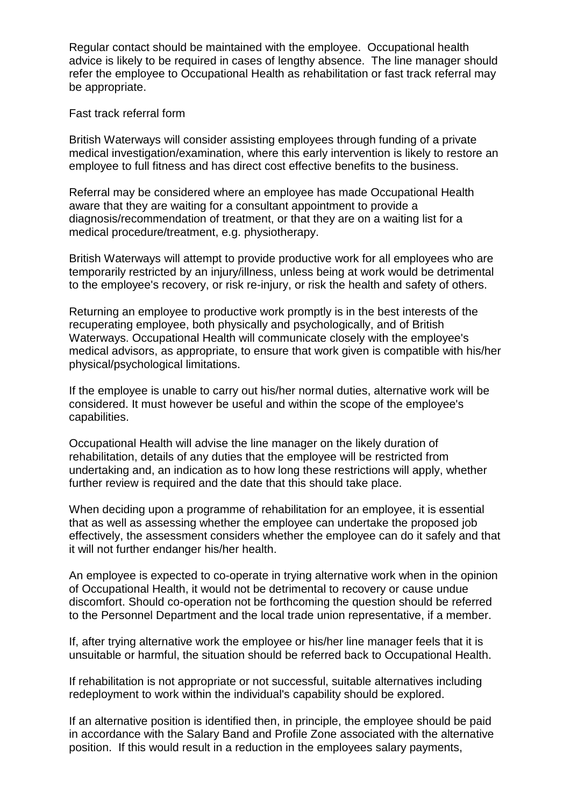Regular contact should be maintained with the employee. Occupational health advice is likely to be required in cases of lengthy absence. The line manager should refer the employee to Occupational Health as rehabilitation or fast track referral may be appropriate.

#### Fast track referral form

British Waterways will consider assisting employees through funding of a private medical investigation/examination, where this early intervention is likely to restore an employee to full fitness and has direct cost effective benefits to the business.

Referral may be considered where an employee has made Occupational Health aware that they are waiting for a consultant appointment to provide a diagnosis/recommendation of treatment, or that they are on a waiting list for a medical procedure/treatment, e.g. physiotherapy.

British Waterways will attempt to provide productive work for all employees who are temporarily restricted by an injury/illness, unless being at work would be detrimental to the employee's recovery, or risk re-injury, or risk the health and safety of others.

Returning an employee to productive work promptly is in the best interests of the recuperating employee, both physically and psychologically, and of British Waterways. Occupational Health will communicate closely with the employee's medical advisors, as appropriate, to ensure that work given is compatible with his/her physical/psychological limitations.

If the employee is unable to carry out his/her normal duties, alternative work will be considered. It must however be useful and within the scope of the employee's capabilities.

Occupational Health will advise the line manager on the likely duration of rehabilitation, details of any duties that the employee will be restricted from undertaking and, an indication as to how long these restrictions will apply, whether further review is required and the date that this should take place.

When deciding upon a programme of rehabilitation for an employee, it is essential that as well as assessing whether the employee can undertake the proposed job effectively, the assessment considers whether the employee can do it safely and that it will not further endanger his/her health.

An employee is expected to co-operate in trying alternative work when in the opinion of Occupational Health, it would not be detrimental to recovery or cause undue discomfort. Should co-operation not be forthcoming the question should be referred to the Personnel Department and the local trade union representative, if a member.

If, after trying alternative work the employee or his/her line manager feels that it is unsuitable or harmful, the situation should be referred back to Occupational Health.

If rehabilitation is not appropriate or not successful, suitable alternatives including redeployment to work within the individual's capability should be explored.

If an alternative position is identified then, in principle, the employee should be paid in accordance with the Salary Band and Profile Zone associated with the alternative position. If this would result in a reduction in the employees salary payments,